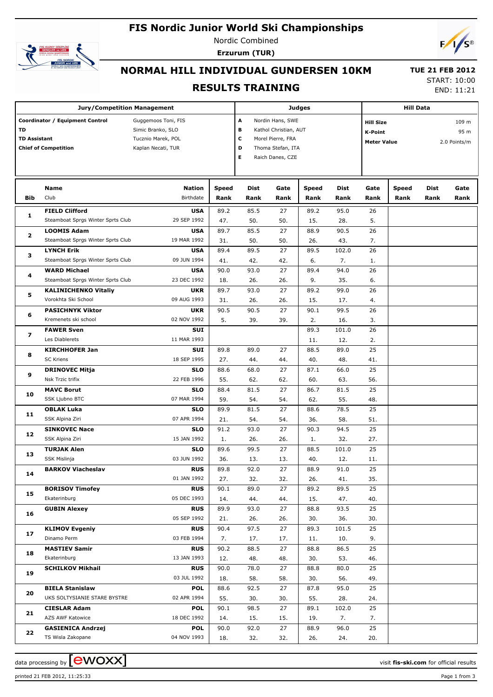## **FIS Nordic Junior World Ski Championships**



Nordic Combined **Erzurum (TUR)**



# **NORMAL HILL INDIVIDUAL GUNDERSEN 10KM**

#### **RESULTS TRAINING**

 **TUE 21 FEB 2012** START: 10:00

END: 11:21

|                           | <b>Jury/Competition Management</b>                             |                                                                                      | Judges      | <b>Hill Data</b> |           |                                                                                                                                  |             |           |              |                               |      |
|---------------------------|----------------------------------------------------------------|--------------------------------------------------------------------------------------|-------------|------------------|-----------|----------------------------------------------------------------------------------------------------------------------------------|-------------|-----------|--------------|-------------------------------|------|
| TD<br><b>TD Assistant</b> | Coordinator / Equipment Control<br><b>Chief of Competition</b> | Guggemoos Toni, FIS<br>Simic Branko, SLO<br>Tucznio Marek, POL<br>Kaplan Necati, TUR |             |                  |           | A<br>Nordin Hans, SWE<br>в<br>Kathol Christian, AUT<br>c<br>Morel Pierre, FRA<br>D<br>Thoma Stefan, ITA<br>Е<br>Raich Danes, CZE |             |           |              | 109 m<br>95 m<br>2.0 Points/m |      |
|                           | Name                                                           | Nation                                                                               | Speed       | Dist             | Gate      | Speed                                                                                                                            | Dist        | Gate      | <b>Speed</b> | Dist                          | Gate |
| Bib                       | Club                                                           | Birthdate                                                                            | Rank        | Rank             | Rank      | Rank                                                                                                                             | Rank        | Rank      | Rank         | Rank                          | Rank |
| 1                         | <b>FIELD Clifford</b><br>Steamboat Sprgs Winter Sprts Club     | <b>USA</b><br>29 SEP 1992                                                            | 89.2<br>47. | 85.5<br>50.      | 27<br>50. | 89.2<br>15.                                                                                                                      | 95.0<br>28. | 26<br>5.  |              |                               |      |
|                           | <b>LOOMIS Adam</b>                                             | <b>USA</b>                                                                           | 89.7        | 85.5             | 27        | 88.9                                                                                                                             | 90.5        | 26        |              |                               |      |
| $\overline{\mathbf{2}}$   | Steamboat Sprgs Winter Sprts Club                              | 19 MAR 1992                                                                          | 31.         | 50.              | 50.       | 26.                                                                                                                              | 43.         | 7.        |              |                               |      |
|                           | <b>LYNCH Erik</b>                                              | <b>USA</b>                                                                           | 89.4        | 89.5             | 27        | 89.5                                                                                                                             | 102.0       | 26        |              |                               |      |
| з                         | Steamboat Sprgs Winter Sprts Club                              | 09 JUN 1994                                                                          | 41.         | 42.              | 42.       | 6.                                                                                                                               | 7.          | 1.        |              |                               |      |
|                           | <b>WARD Michael</b>                                            | <b>USA</b>                                                                           | 90.0        | 93.0             | 27        | 89.4                                                                                                                             | 94.0        | 26        |              |                               |      |
| 4                         | Steamboat Sprgs Winter Sprts Club                              | 23 DEC 1992                                                                          | 18.         | 26.              | 26.       | 9.                                                                                                                               | 35.         | 6.        |              |                               |      |
|                           | <b>KALINICHENKO Vitaliy</b>                                    | UKR                                                                                  | 89.7        | 93.0             | 27        | 89.2                                                                                                                             | 99.0        | 26        |              |                               |      |
| 5                         | Vorokhta Ski School                                            | 09 AUG 1993                                                                          | 31.         | 26.              | 26.       | 15.                                                                                                                              | 17.         | 4.        |              |                               |      |
|                           | <b>PASICHNYK Viktor</b>                                        | <b>UKR</b>                                                                           | 90.5        | 90.5             | 27        | 90.1                                                                                                                             | 99.5        | 26        |              |                               |      |
| 6                         | Kremenets ski school                                           | 02 NOV 1992                                                                          | 5.          | 39.              | 39.       | 2.                                                                                                                               | 16.         | 3.        |              |                               |      |
|                           | <b>FAWER Sven</b>                                              | SUI                                                                                  |             |                  |           | 89.3                                                                                                                             | 101.0       | 26        |              |                               |      |
| $\overline{\phantom{a}}$  | Les Diablerets                                                 | 11 MAR 1993                                                                          |             |                  |           | 11.                                                                                                                              | 12.         | 2.        |              |                               |      |
|                           | <b>KIRCHHOFER Jan</b>                                          | SUI                                                                                  | 89.8        | 89.0             | 27        | 88.5                                                                                                                             | 89.0        | 25        |              |                               |      |
| 8                         | <b>SC Kriens</b>                                               | 18 SEP 1995                                                                          | 27.         | 44.              | 44.       | 40.                                                                                                                              | 48.         | 41.       |              |                               |      |
|                           | <b>DRINOVEC Mitja</b>                                          | <b>SLO</b>                                                                           | 88.6        | 68.0             | 27        | 87.1                                                                                                                             | 66.0        | 25        |              |                               |      |
| 9                         | Nsk Trzic trifix                                               | 22 FEB 1996                                                                          | 55.         | 62.              | 62.       | 60.                                                                                                                              | 63.         | 56.       |              |                               |      |
| 10                        | <b>MAVC Borut</b>                                              | <b>SLO</b>                                                                           | 88.4        | 81.5             | 27        | 86.7                                                                                                                             | 81.5        | 25        |              |                               |      |
|                           | SSK Ljubno BTC                                                 | 07 MAR 1994                                                                          | 59.         | 54.              | 54.       | 62.                                                                                                                              | 55.         | 48.       |              |                               |      |
| 11                        | <b>OBLAK Luka</b>                                              | <b>SLO</b>                                                                           | 89.9        | 81.5             | 27        | 88.6                                                                                                                             | 78.5        | 25        |              |                               |      |
|                           | SSK Alpina Ziri                                                | 07 APR 1994                                                                          | 21.         | 54.              | 54.       | 36.                                                                                                                              | 58.         | 51.       |              |                               |      |
| 12                        | <b>SINKOVEC Nace</b>                                           | <b>SLO</b>                                                                           | 91.2        | 93.0             | 27        | 90.3                                                                                                                             | 94.5        | 25        |              |                               |      |
|                           | SSK Alpina Ziri                                                | 15 JAN 1992                                                                          | 1.          | 26.              | 26.       | 1.                                                                                                                               | 32.         | 27.       |              |                               |      |
| 13                        | <b>TURJAK Alen</b>                                             | <b>SLO</b>                                                                           | 89.6        | 99.5             | 27        | 88.5                                                                                                                             | 101.0       | 25        |              |                               |      |
|                           | SSK Mislinja                                                   | 03 JUN 1992                                                                          | 36.         | 13.              | 13.       | 40.                                                                                                                              | 12.         | 11.       |              |                               |      |
| 14                        | <b>BARKOV Viacheslav</b>                                       | <b>RUS</b><br>01 JAN 1992                                                            | 89.8<br>27. | 92.0<br>32.      | 27<br>32. | 88.9<br>26.                                                                                                                      | 91.0<br>41. | 25<br>35. |              |                               |      |
|                           | <b>BORISOV Timofey</b>                                         | <b>RUS</b>                                                                           | 90.1        | 89.0             | 27        | 89.2                                                                                                                             | 89.5        | 25        |              |                               |      |
| 15                        | Ekaterinburg                                                   | 05 DEC 1993                                                                          | 14.         | 44.              | 44.       | 15.                                                                                                                              | 47.         | 40.       |              |                               |      |
|                           | <b>GUBIN Alexey</b>                                            | <b>RUS</b>                                                                           | 89.9        | 93.0             | 27        | 88.8                                                                                                                             | 93.5        | 25        |              |                               |      |
| 16                        |                                                                | 05 SEP 1992                                                                          | 21.         | 26.              | 26.       | 30.                                                                                                                              | 36.         | 30.       |              |                               |      |
|                           | <b>KLIMOV Evgeniy</b>                                          | <b>RUS</b>                                                                           | 90.4        | 97.5             | 27        | 89.3                                                                                                                             | 101.5       | 25        |              |                               |      |
| 17                        | Dinamo Perm                                                    | 03 FEB 1994                                                                          | 7.          | 17.              | 17.       | 11.                                                                                                                              | 10.         | 9.        |              |                               |      |
|                           | <b>MASTIEV Samir</b>                                           | <b>RUS</b>                                                                           | 90.2        | 88.5             | 27        | 88.8                                                                                                                             | 86.5        | 25        |              |                               |      |
| 18                        | Ekaterinburg                                                   | 13 JAN 1993                                                                          | 12.         | 48.              | 48.       | 30.                                                                                                                              | 53.         | 46.       |              |                               |      |
|                           | <b>SCHILKOV Mikhail</b>                                        | <b>RUS</b>                                                                           | 90.0        | 78.0             | 27        | 88.8                                                                                                                             | 80.0        | 25        |              |                               |      |
| 19                        |                                                                | 03 JUL 1992                                                                          | 18.         | 58.              | 58.       | 30.                                                                                                                              | 56.         | 49.       |              |                               |      |
|                           | <b>BIELA Stanislaw</b>                                         | <b>POL</b>                                                                           | 88.6        | 92.5             | 27        | 87.8                                                                                                                             | 95.0        | 25        |              |                               |      |
| 20                        | UKS SOLTYSIANIE STARE BYSTRE                                   | 02 APR 1994                                                                          | 55.         | 30.              | 30.       | 55.                                                                                                                              | 28.         | 24.       |              |                               |      |
| 21                        | <b>CIESLAR Adam</b>                                            | <b>POL</b>                                                                           | 90.1        | 98.5             | 27        | 89.1                                                                                                                             | 102.0       | 25        |              |                               |      |
|                           | AZS AWF Katowice                                               | 18 DEC 1992                                                                          | 14.         | 15.              | 15.       | 19.                                                                                                                              | 7.          | 7.        |              |                               |      |
| 22                        | <b>GASIENICA Andrzej</b>                                       | <b>POL</b>                                                                           | 90.0        | 92.0             | 27        | 88.9                                                                                                                             | 96.0        | 25        |              |                               |      |
|                           | TS Wisla Zakopane                                              | 04 NOV 1993                                                                          | 18.         | 32.              | 32.       | 26.                                                                                                                              | 24.         | 20.       |              |                               |      |

printed 21 FEB 2012, 11:25:33 Page 1 from 3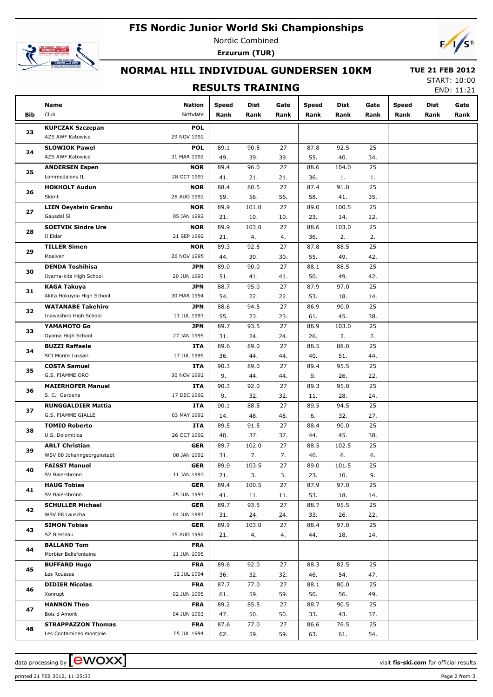### **FIS Nordic Junior World Ski Championships**



Nordic Combined **Erzurum (TUR)**



### **NORMAL HILL INDIVIDUAL GUNDERSEN 10KM**

#### **RESULTS TRAINING**

 **TUE 21 FEB 2012** START: 10:00

END: 11:21

|     | Name                        | Nation      | Speed | Dist  | Gate | <b>Speed</b> | Dist  | Gate | <b>Speed</b> | Dist | Gate |
|-----|-----------------------------|-------------|-------|-------|------|--------------|-------|------|--------------|------|------|
| Bib | Club                        | Birthdate   | Rank  | Rank  | Rank | Rank         | Rank  | Rank | Rank         | Rank | Rank |
|     | <b>KUPCZAK Szczepan</b>     | <b>POL</b>  |       |       |      |              |       |      |              |      |      |
| 23  | AZS AWF Katowice            | 29 NOV 1992 |       |       |      |              |       |      |              |      |      |
|     | <b>SLOWIOK Pawel</b>        | <b>POL</b>  | 89.1  | 90.5  | 27   | 87.8         | 92.5  | 25   |              |      |      |
| 24  | AZS AWF Katowice            | 31 MAR 1992 | 49.   | 39.   | 39.  | 55.          | 40.   | 34.  |              |      |      |
|     | <b>ANDERSEN Espen</b>       | <b>NOR</b>  | 89.4  | 96.0  | 27   | 88.6         | 104.0 | 25   |              |      |      |
| 25  | Lommedalens IL              | 28 OCT 1993 | 41.   | 21.   | 21.  | 36.          | 1.    | 1.   |              |      |      |
|     | <b>HOKHOLT Audun</b>        | <b>NOR</b>  | 88.4  | 80.5  | 27   | 87.4         | 91.0  | 25   |              |      |      |
| 26  | Skimt                       | 28 AUG 1992 | 59.   | 56.   | 56.  | 58.          | 41.   | 35.  |              |      |      |
|     | <b>LIEN Oeystein Granbu</b> | <b>NOR</b>  | 89.9  | 101.0 | 27   | 89.0         | 100.5 | 25   |              |      |      |
| 27  | Gausdal SI                  | 05 JAN 1992 | 21.   | 10.   | 10.  | 23.          | 14.   | 12.  |              |      |      |
|     | <b>SOETVIK Sindre Ure</b>   | <b>NOR</b>  | 89.9  | 103.0 | 27   | 88.6         | 103.0 | 25   |              |      |      |
| 28  | Il Eldar                    | 21 SEP 1992 | 21.   | 4.    | 4.   | 36.          | 2.    | 2.   |              |      |      |
|     | <b>TILLER Simen</b>         | <b>NOR</b>  | 89.3  | 92.5  | 27   | 87.8         | 88.5  | 25   |              |      |      |
| 29  | Moelven                     | 26 NOV 1995 | 44.   | 30.   | 30.  | 55.          | 49.   | 42.  |              |      |      |
|     | <b>DENDA Toshihisa</b>      | <b>JPN</b>  | 89.0  | 90.0  | 27   | 88.1         | 88.5  | 25   |              |      |      |
| 30  | Iiyama-kita High School     | 20 JUN 1993 | 51.   | 41.   | 41.  | 50.          | 49.   | 42.  |              |      |      |
|     | <b>KAGA Takuya</b>          | <b>JPN</b>  | 88.7  | 95.0  | 27   | 87.9         | 97.0  | 25   |              |      |      |
| 31  | Akita Hokuyou High School   | 30 MAR 1994 | 54.   | 22.   | 22.  | 53.          | 18.   | 14.  |              |      |      |
|     | <b>WATANABE Takehiro</b>    | <b>JPN</b>  | 88.6  | 94.5  | 27   | 86.9         | 90.0  | 25   |              |      |      |
| 32  | Inawashiro High School      | 13 JUL 1993 | 55.   | 23.   | 23.  | 61.          | 45.   | 38.  |              |      |      |
|     | YAMAMOTO Go                 | <b>JPN</b>  | 89.7  | 93.5  | 27   | 88.9         | 103.0 | 25   |              |      |      |
| 33  | Oyama High School           | 27 JAN 1995 | 31.   | 24.   | 24.  | 26.          | 2.    | 2.   |              |      |      |
|     | <b>BUZZI Raffaele</b>       | ITA         | 89.6  | 89.0  | 27   | 88.5         | 88.0  | 25   |              |      |      |
| 34  | SCI Monte Lussari           | 17 JUL 1995 | 36.   | 44.   | 44.  | 40.          | 51.   | 44.  |              |      |      |
| 35  | <b>COSTA Samuel</b>         | ITA         | 90.3  | 89.0  | 27   | 89.4         | 95.5  | 25   |              |      |      |
|     | G.S. FIAMME ORO             | 30 NOV 1992 | 9.    | 44.   | 44.  | 9.           | 26.   | 22.  |              |      |      |
|     | <b>MAIERHOFER Manuel</b>    | ITA         | 90.3  | 92.0  | 27   | 89.3         | 95.0  | 25   |              |      |      |
| 36  | S. C. Gardena               | 17 DEC 1992 | 9.    | 32.   | 32.  | 11.          | 28.   | 24.  |              |      |      |
|     | <b>RUNGGALDIER Mattia</b>   | ITA         | 90.1  | 88.5  | 27   | 89.5         | 94.5  | 25   |              |      |      |
| 37  | G.S. FIAMME GIALLE          | 03 MAY 1992 | 14.   | 48.   | 48.  | 6.           | 32.   | 27.  |              |      |      |
| 38  | <b>TOMIO Roberto</b>        | ITA         | 89.5  | 91.5  | 27   | 88.4         | 90.0  | 25   |              |      |      |
|     | U.S. Dolomitica             | 26 OCT 1992 | 40.   | 37.   | 37.  | 44.          | 45.   | 38.  |              |      |      |
| 39  | <b>ARLT Christian</b>       | <b>GER</b>  | 89.7  | 102.0 | 27   | 88.5         | 102.5 | 25   |              |      |      |
|     | WSV 08 Johanngeorgenstadt   | 08 JAN 1992 | 31.   | 7.    | 7.   | 40.          | 6.    | 6.   |              |      |      |
| 40  | <b>FAISST Manuel</b>        | <b>GER</b>  | 89.9  | 103.5 | 27   | 89.0         | 101.5 | 25   |              |      |      |
|     | SV Baiersbronn              | 11 JAN 1993 | 21.   | 3.    | 3.   | 23.          | 10.   | 9.   |              |      |      |
| 41  | <b>HAUG Tobias</b>          | <b>GER</b>  | 89.4  | 100.5 | 27   | 87.9         | 97.0  | 25   |              |      |      |
|     | SV Baiersbronn              | 25 JUN 1993 | 41.   | 11.   | 11.  | 53.          | 18.   | 14.  |              |      |      |
| 42  | <b>SCHULLER Michael</b>     | <b>GER</b>  | 89.7  | 93.5  | 27   | 88.7         | 95.5  | 25   |              |      |      |
|     | WSV 08 Lauscha              | 04 JUN 1993 | 31.   | 24.   | 24.  | 33.          | 26.   | 22.  |              |      |      |
| 43  | <b>SIMON Tobias</b>         | GER         | 89.9  | 103.0 | 27   | 88.4         | 97.0  | 25   |              |      |      |
|     | SZ Breitnau                 | 15 AUG 1992 | 21.   | 4.    | 4.   | 44.          | 18.   | 14.  |              |      |      |
| 44  | <b>BALLAND Tom</b>          | <b>FRA</b>  |       |       |      |              |       |      |              |      |      |
|     | Morbier Bellefontaine       | 11 JUN 1995 |       |       |      |              |       |      |              |      |      |
| 45  | <b>BUFFARD Hugo</b>         | <b>FRA</b>  | 89.6  | 92.0  | 27   | 88.3         | 82.5  | 25   |              |      |      |
|     | Les Rousses                 | 12 JUL 1994 | 36.   | 32.   | 32.  | 46.          | 54.   | 47.  |              |      |      |
| 46  | <b>DIDIER Nicolas</b>       | <b>FRA</b>  | 87.7  | 77.0  | 27   | 88.1         | 80.0  | 25   |              |      |      |
|     | Xonrupt                     | 02 JUN 1995 | 61.   | 59.   | 59.  | 50.          | 56.   | 49.  |              |      |      |
| 47  | <b>HANNON Theo</b>          | <b>FRA</b>  | 89.2  | 85.5  | 27   | 88.7         | 90.5  | 25   |              |      |      |
|     | Bois d Amont                | 04 JUN 1993 | 47.   | 50.   | 50.  | 33.          | 43.   | 37.  |              |      |      |
| 48  | <b>STRAPPAZZON Thomas</b>   | <b>FRA</b>  | 87.6  | 77.0  | 27   | 86.6         | 76.5  | 25   |              |      |      |
|     | Les Contamines montjoie     | 05 JUL 1994 | 62.   | 59.   | 59.  | 63.          | 61.   | 54.  |              |      |      |

printed 21 FEB 2012, 11:25:33 Page 2 from 3

data processing by **CWOXX**  $\blacksquare$  and  $\blacksquare$  and  $\blacksquare$  and  $\blacksquare$  and  $\blacksquare$  and  $\blacksquare$  and  $\blacksquare$  and  $\blacksquare$  and  $\blacksquare$  and  $\blacksquare$  and  $\blacksquare$  and  $\blacksquare$  and  $\blacksquare$  and  $\blacksquare$  and  $\blacksquare$  and  $\blacksquare$  and  $\blacksquare$  and  $\blacksquare$  a